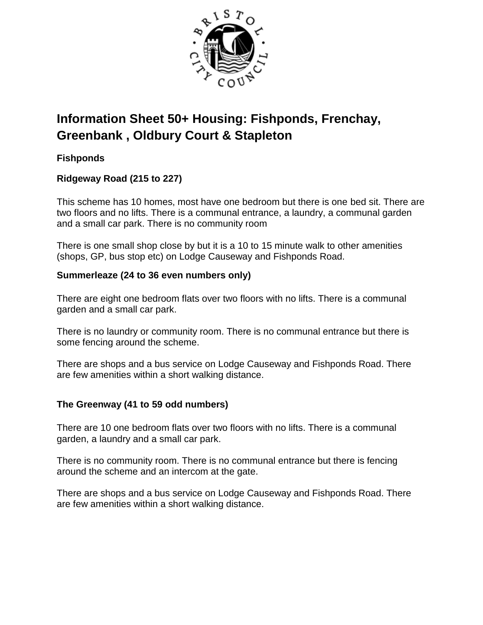

# **Information Sheet 50+ Housing: Fishponds, Frenchay, Greenbank , Oldbury Court & Stapleton**

## **Fishponds**

## **Ridgeway Road (215 to 227)**

This scheme has 10 homes, most have one bedroom but there is one bed sit. There are two floors and no lifts. There is a communal entrance, a laundry, a communal garden and a small car park. There is no community room

There is one small shop close by but it is a 10 to 15 minute walk to other amenities (shops, GP, bus stop etc) on Lodge Causeway and Fishponds Road.

### **Summerleaze (24 to 36 even numbers only)**

There are eight one bedroom flats over two floors with no lifts. There is a communal garden and a small car park.

There is no laundry or community room. There is no communal entrance but there is some fencing around the scheme.

There are shops and a bus service on Lodge Causeway and Fishponds Road. There are few amenities within a short walking distance.

## **The Greenway (41 to 59 odd numbers)**

There are 10 one bedroom flats over two floors with no lifts. There is a communal garden, a laundry and a small car park.

There is no community room. There is no communal entrance but there is fencing around the scheme and an intercom at the gate.

There are shops and a bus service on Lodge Causeway and Fishponds Road. There are few amenities within a short walking distance.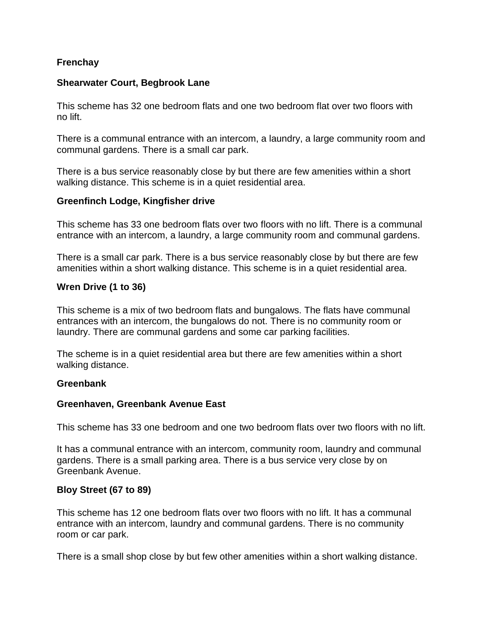### **Frenchay**

#### **Shearwater Court, Begbrook Lane**

This scheme has 32 one bedroom flats and one two bedroom flat over two floors with no lift.

There is a communal entrance with an intercom, a laundry, a large community room and communal gardens. There is a small car park.

There is a bus service reasonably close by but there are few amenities within a short walking distance. This scheme is in a quiet residential area.

#### **Greenfinch Lodge, Kingfisher drive**

This scheme has 33 one bedroom flats over two floors with no lift. There is a communal entrance with an intercom, a laundry, a large community room and communal gardens.

There is a small car park. There is a bus service reasonably close by but there are few amenities within a short walking distance. This scheme is in a quiet residential area.

### **Wren Drive (1 to 36)**

This scheme is a mix of two bedroom flats and bungalows. The flats have communal entrances with an intercom, the bungalows do not. There is no community room or laundry. There are communal gardens and some car parking facilities.

The scheme is in a quiet residential area but there are few amenities within a short walking distance.

#### **Greenbank**

#### **Greenhaven, Greenbank Avenue East**

This scheme has 33 one bedroom and one two bedroom flats over two floors with no lift.

It has a communal entrance with an intercom, community room, laundry and communal gardens. There is a small parking area. There is a bus service very close by on Greenbank Avenue.

#### **Bloy Street (67 to 89)**

This scheme has 12 one bedroom flats over two floors with no lift. It has a communal entrance with an intercom, laundry and communal gardens. There is no community room or car park.

There is a small shop close by but few other amenities within a short walking distance.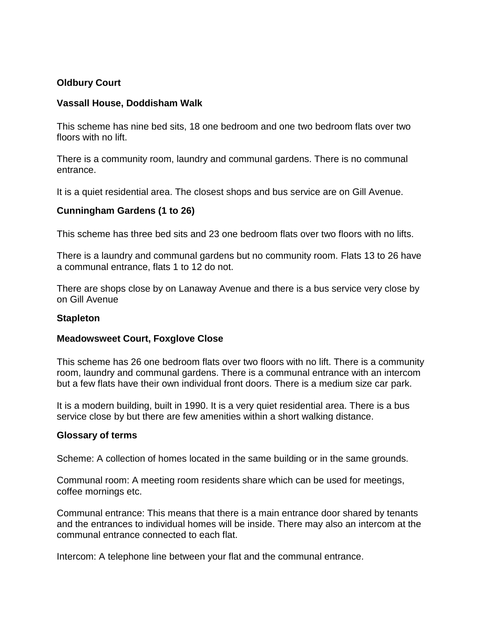#### **Oldbury Court**

#### **Vassall House, Doddisham Walk**

This scheme has nine bed sits, 18 one bedroom and one two bedroom flats over two floors with no lift.

There is a community room, laundry and communal gardens. There is no communal entrance.

It is a quiet residential area. The closest shops and bus service are on Gill Avenue.

#### **Cunningham Gardens (1 to 26)**

This scheme has three bed sits and 23 one bedroom flats over two floors with no lifts.

There is a laundry and communal gardens but no community room. Flats 13 to 26 have a communal entrance, flats 1 to 12 do not.

There are shops close by on Lanaway Avenue and there is a bus service very close by on Gill Avenue

#### **Stapleton**

#### **Meadowsweet Court, Foxglove Close**

This scheme has 26 one bedroom flats over two floors with no lift. There is a community room, laundry and communal gardens. There is a communal entrance with an intercom but a few flats have their own individual front doors. There is a medium size car park.

It is a modern building, built in 1990. It is a very quiet residential area. There is a bus service close by but there are few amenities within a short walking distance.

#### **Glossary of terms**

Scheme: A collection of homes located in the same building or in the same grounds.

Communal room: A meeting room residents share which can be used for meetings, coffee mornings etc.

Communal entrance: This means that there is a main entrance door shared by tenants and the entrances to individual homes will be inside. There may also an intercom at the communal entrance connected to each flat.

Intercom: A telephone line between your flat and the communal entrance.